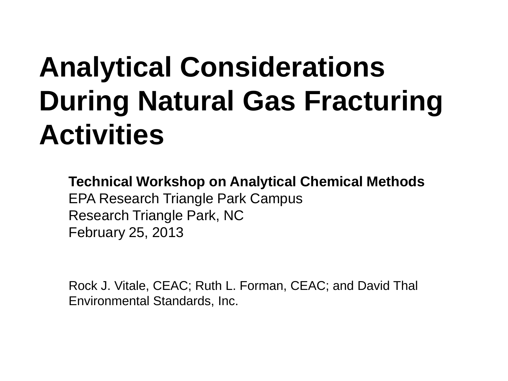### **Analytical Considerations During Natural Gas Fracturing Activities**

**Technical Workshop on Analytical Chemical Methods**  EPA Research Triangle Park Campus Research Triangle Park, NC February 25, 2013

Rock J. Vitale, CEAC; Ruth L. Forman, CEAC; and David Thal Environmental Standards, Inc.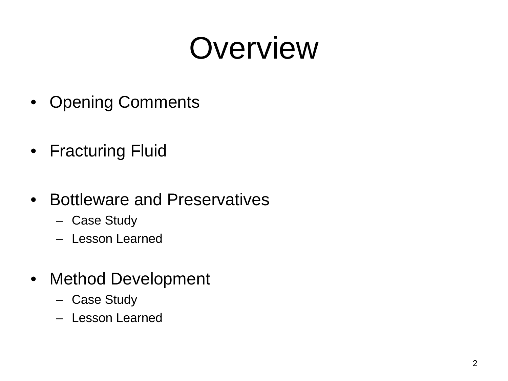### **Overview**

- Opening Comments
- Fracturing Fluid
- Bottleware and Preservatives
	- Case Study
	- Lesson Learned
- Method Development
	- Case Study
	- Lesson Learned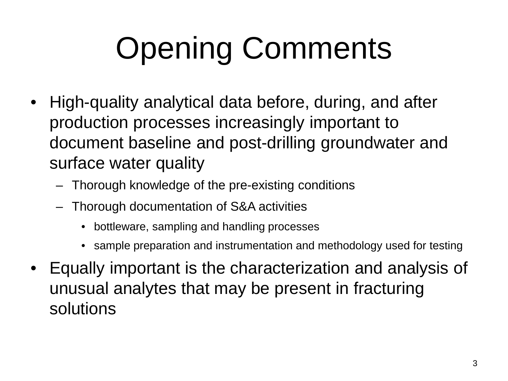# Opening Comments

- High-quality analytical data before, during, and after production processes increasingly important to document baseline and post-drilling groundwater and surface water quality
	- Thorough knowledge of the pre-existing conditions
	- Thorough documentation of S&A activities
		- bottleware, sampling and handling processes
		- sample preparation and instrumentation and methodology used for testing
- Equally important is the characterization and analysis of unusual analytes that may be present in fracturing solutions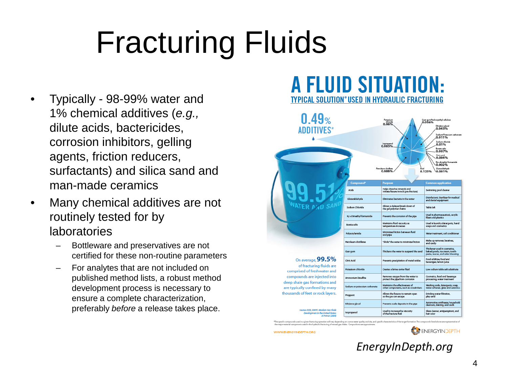# Fracturing Fluids

- Typically 98-99% water and 1% chemical additives (*e.g.,* dilute acids, bactericides, corrosion inhibitors, gelling agents, friction reducers, surfactants) and silica sand and man-made ceramics
- Many chemical additives are not routinely tested for by laboratories
	- Bottleware and preservatives are not certified for these non-routine parameters
	- For analytes that are not included on published method lists, a robust method development process is necessary to ensure a complete characterization, preferably *before* a release takes place.

#### **A FLUID SITUATION:** TYPICAL SOLUTION\*USED IN HYDRAULIC FRACTURING



ger material components used in the hydraulic fracturing of n

WWW.ENERGYINDEPTH.ORG

ENERGYINDEPTH

*EnergyInDepth.org*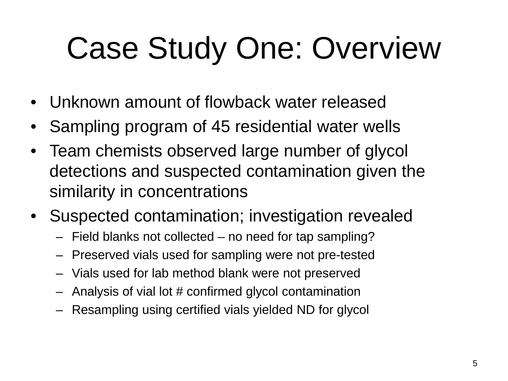# Case Study One: Overview

- Unknown amount of flowback water released
- Sampling program of 45 residential water wells
- Team chemists observed large number of glycol detections and suspected contamination given the similarity in concentrations
- Suspected contamination; investigation revealed
	- Field blanks not collected no need for tap sampling?
	- Preserved vials used for sampling were not pre-tested
	- Vials used for lab method blank were not preserved
	- Analysis of vial lot # confirmed glycol contamination
	- Resampling using certified vials yielded ND for glycol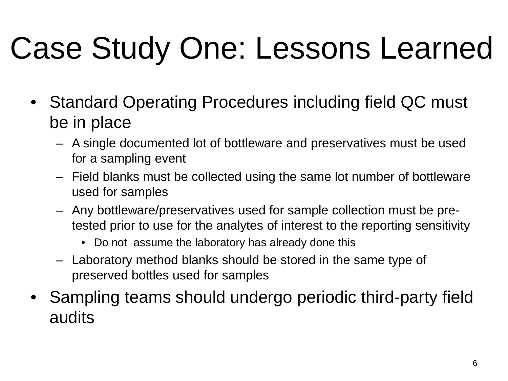# Case Study One: Lessons Learned

- Standard Operating Procedures including field QC must be in place
	- A single documented lot of bottleware and preservatives must be used for a sampling event
	- Field blanks must be collected using the same lot number of bottleware used for samples
	- Any bottleware/preservatives used for sample collection must be pretested prior to use for the analytes of interest to the reporting sensitivity
		- Do not assume the laboratory has already done this
	- Laboratory method blanks should be stored in the same type of preserved bottles used for samples
- Sampling teams should undergo periodic third-party field audits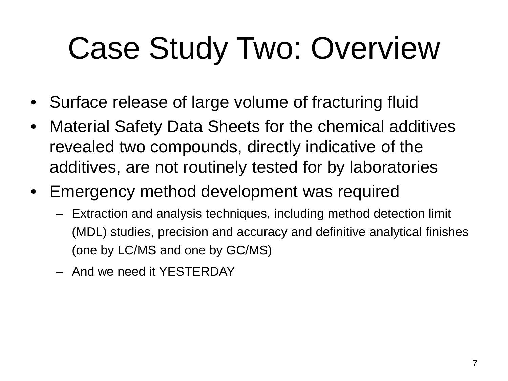### Case Study Two: Overview

- Surface release of large volume of fracturing fluid
- Material Safety Data Sheets for the chemical additives revealed two compounds, directly indicative of the additives, are not routinely tested for by laboratories
- Emergency method development was required
	- Extraction and analysis techniques, including method detection limit (MDL) studies, precision and accuracy and definitive analytical finishes (one by LC/MS and one by GC/MS)
	- And we need it YESTERDAY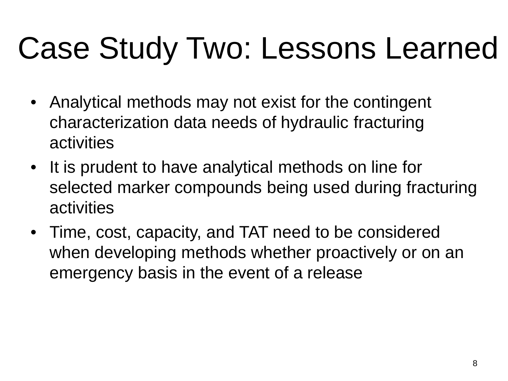### Case Study Two: Lessons Learned

- Analytical methods may not exist for the contingent characterization data needs of hydraulic fracturing activities
- It is prudent to have analytical methods on line for selected marker compounds being used during fracturing activities
- Time, cost, capacity, and TAT need to be considered when developing methods whether proactively or on an emergency basis in the event of a release